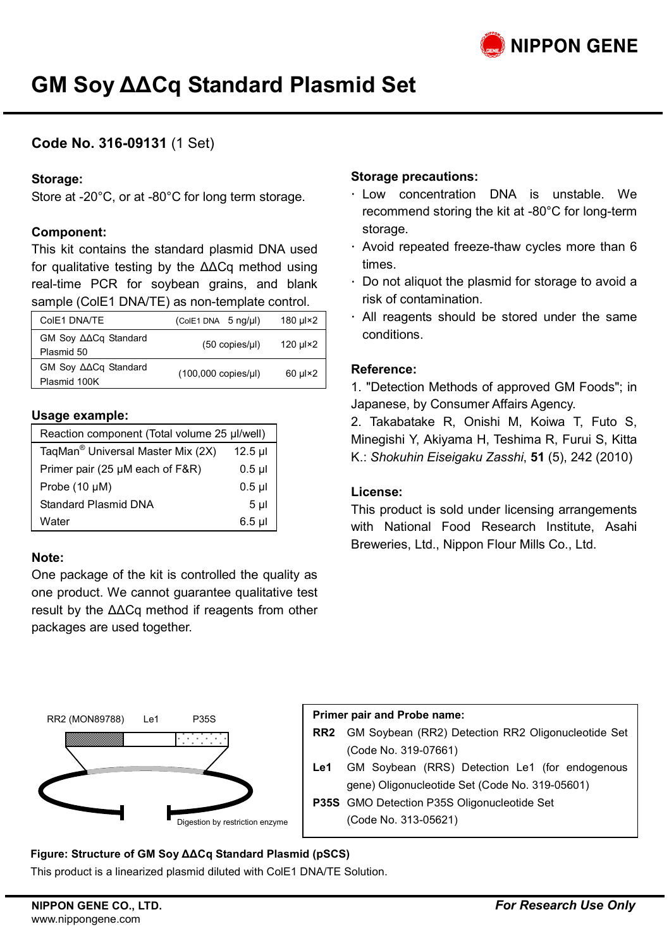# **GM Soy ΔΔCq Standard Plasmid Set**

# **Code No. 316-09131** (1 Set)

### **Storage:**

Store at -20°C, or at -80°C for long term storage.

### **Component:**

This kit contains the standard plasmid DNA used for qualitative testing by the ΔΔCq method using real-time PCR for soybean grains, and blank sample (ColE1 DNA/TE) as non-template control.

| ColE1 DNA/TE                                           | $(ColE1 DNA 5 ng/\mul)$ | 180 µl×2   |
|--------------------------------------------------------|-------------------------|------------|
| GM Soy $\triangle \triangle Cq$ Standard<br>Plasmid 50 | $(50$ copies/ $\mu$ I)  | 120 µl×2   |
| GM Soy AACq Standard<br>Plasmid 100K                   | (100,000 copies/µl)     | $60 \mu x$ |

### **Usage example:**

| Reaction component (Total volume 25 µl/well)  |                                              |  |
|-----------------------------------------------|----------------------------------------------|--|
| TagMan <sup>®</sup> Universal Master Mix (2X) | $12.5$ µl                                    |  |
| Primer pair (25 µM each of F&R)               | $0.5$ $\mu$                                  |  |
| Probe (10 µM)                                 | $0.5 \text{ }\mu\text{l}$<br>5 $\mu\text{l}$ |  |
| Standard Plasmid DNA                          |                                              |  |
| Water                                         | $6.5$ µ                                      |  |

### **Note:**

One package of the kit is controlled the quality as one product. We cannot guarantee qualitative test result by the ΔΔCq method if reagents from other packages are used together.

### **Storage precautions:**

- $\cdot$  Low concentration DNA is unstable. We recommend storing the kit at -80°C for long-term storage.
- Avoid repeated freeze-thaw cycles more than 6 times.
- Do not aliquot the plasmid for storage to avoid a risk of contamination.
- All reagents should be stored under the same conditions.

### **Reference:**

1. "Detection Methods of approved GM Foods"; in Japanese, by Consumer Affairs Agency.

2. Takabatake R, Onishi M, Koiwa T, Futo S, Minegishi Y, Akiyama H, Teshima R, Furui S, Kitta K.: *Shokuhin Eiseigaku Zasshi*, **51** (5), 242 (2010)

### **License:**

This product is sold under licensing arrangements with National Food Research Institute, Asahi Breweries, Ltd., Nippon Flour Mills Co., Ltd.



### **Primer pair and Probe name:**

- **RR2** GM Soybean (RR2) Detection RR2 Oligonucleotide Set (Code No. 319-07661)
- **Le1** GM Soybean (RRS) Detection Le1 (for endogenous gene) Oligonucleotide Set (Code No. 319-05601)
- **P35S** GMO Detection P35S Oligonucleotide Set (Code No. 313-05621)

**Figure: Structure of GM Soy ΔΔCq Standard Plasmid (pSCS)**

This product is a linearized plasmid diluted with ColE1 DNA/TE Solution.